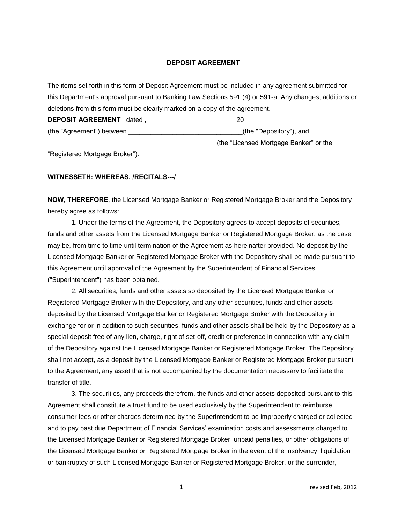## **DEPOSIT AGREEMENT**

The items set forth in this form of Deposit Agreement must be included in any agreement submitted for this Department's approval pursuant to Banking Law Sections 591 (4) or 591-a. Any changes, additions or deletions from this form must be clearly marked on a copy of the agreement. **DEPOSIT AGREEMENT** dated , \_\_\_\_\_\_\_\_\_\_\_\_\_\_\_\_\_\_\_\_\_\_\_\_20 \_\_\_\_\_ (the "Agreement") between \_\_\_\_\_\_\_\_\_\_\_\_\_\_\_\_\_\_\_\_\_\_\_\_\_\_\_\_\_\_\_(the "Depository"), and \_\_\_\_\_\_\_\_\_\_\_\_\_\_\_\_\_\_\_\_\_\_\_\_\_\_\_\_\_\_\_\_\_\_\_\_\_\_\_\_\_\_\_\_\_\_(the "Licensed Mortgage Banker" or the

"Registered Mortgage Broker").

## **WITNESSETH: WHEREAS, /RECITALS---/**

**NOW, THEREFORE**, the Licensed Mortgage Banker or Registered Mortgage Broker and the Depository hereby agree as follows:

1. Under the terms of the Agreement, the Depository agrees to accept deposits of securities, funds and other assets from the Licensed Mortgage Banker or Registered Mortgage Broker, as the case may be, from time to time until termination of the Agreement as hereinafter provided. No deposit by the Licensed Mortgage Banker or Registered Mortgage Broker with the Depository shall be made pursuant to this Agreement until approval of the Agreement by the Superintendent of Financial Services ("Superintendent") has been obtained.

2. All securities, funds and other assets so deposited by the Licensed Mortgage Banker or Registered Mortgage Broker with the Depository, and any other securities, funds and other assets deposited by the Licensed Mortgage Banker or Registered Mortgage Broker with the Depository in exchange for or in addition to such securities, funds and other assets shall be held by the Depository as a special deposit free of any lien, charge, right of set-off, credit or preference in connection with any claim of the Depository against the Licensed Mortgage Banker or Registered Mortgage Broker. The Depository shall not accept, as a deposit by the Licensed Mortgage Banker or Registered Mortgage Broker pursuant to the Agreement, any asset that is not accompanied by the documentation necessary to facilitate the transfer of title.

3. The securities, any proceeds therefrom, the funds and other assets deposited pursuant to this Agreement shall constitute a trust fund to be used exclusively by the Superintendent to reimburse consumer fees or other charges determined by the Superintendent to be improperly charged or collected and to pay past due Department of Financial Services' examination costs and assessments charged to the Licensed Mortgage Banker or Registered Mortgage Broker, unpaid penalties, or other obligations of the Licensed Mortgage Banker or Registered Mortgage Broker in the event of the insolvency, liquidation or bankruptcy of such Licensed Mortgage Banker or Registered Mortgage Broker, or the surrender,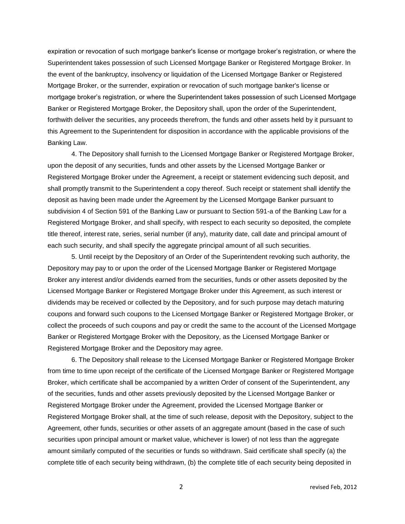expiration or revocation of such mortgage banker's license or mortgage broker's registration, or where the Superintendent takes possession of such Licensed Mortgage Banker or Registered Mortgage Broker. In the event of the bankruptcy, insolvency or liquidation of the Licensed Mortgage Banker or Registered Mortgage Broker, or the surrender, expiration or revocation of such mortgage banker's license or mortgage broker's registration, or where the Superintendent takes possession of such Licensed Mortgage Banker or Registered Mortgage Broker, the Depository shall, upon the order of the Superintendent, forthwith deliver the securities, any proceeds therefrom, the funds and other assets held by it pursuant to this Agreement to the Superintendent for disposition in accordance with the applicable provisions of the Banking Law.

4. The Depository shall furnish to the Licensed Mortgage Banker or Registered Mortgage Broker, upon the deposit of any securities, funds and other assets by the Licensed Mortgage Banker or Registered Mortgage Broker under the Agreement, a receipt or statement evidencing such deposit, and shall promptly transmit to the Superintendent a copy thereof. Such receipt or statement shall identify the deposit as having been made under the Agreement by the Licensed Mortgage Banker pursuant to subdivision 4 of Section 591 of the Banking Law or pursuant to Section 591-a of the Banking Law for a Registered Mortgage Broker, and shall specify, with respect to each security so deposited, the complete title thereof, interest rate, series, serial number (if any), maturity date, call date and principal amount of each such security, and shall specify the aggregate principal amount of all such securities.

5. Until receipt by the Depository of an Order of the Superintendent revoking such authority, the Depository may pay to or upon the order of the Licensed Mortgage Banker or Registered Mortgage Broker any interest and/or dividends earned from the securities, funds or other assets deposited by the Licensed Mortgage Banker or Registered Mortgage Broker under this Agreement, as such interest or dividends may be received or collected by the Depository, and for such purpose may detach maturing coupons and forward such coupons to the Licensed Mortgage Banker or Registered Mortgage Broker, or collect the proceeds of such coupons and pay or credit the same to the account of the Licensed Mortgage Banker or Registered Mortgage Broker with the Depository, as the Licensed Mortgage Banker or Registered Mortgage Broker and the Depository may agree.

6. The Depository shall release to the Licensed Mortgage Banker or Registered Mortgage Broker from time to time upon receipt of the certificate of the Licensed Mortgage Banker or Registered Mortgage Broker, which certificate shall be accompanied by a written Order of consent of the Superintendent, any of the securities, funds and other assets previously deposited by the Licensed Mortgage Banker or Registered Mortgage Broker under the Agreement, provided the Licensed Mortgage Banker or Registered Mortgage Broker shall, at the time of such release, deposit with the Depository, subject to the Agreement, other funds, securities or other assets of an aggregate amount (based in the case of such securities upon principal amount or market value, whichever is lower) of not less than the aggregate amount similarly computed of the securities or funds so withdrawn. Said certificate shall specify (a) the complete title of each security being withdrawn, (b) the complete title of each security being deposited in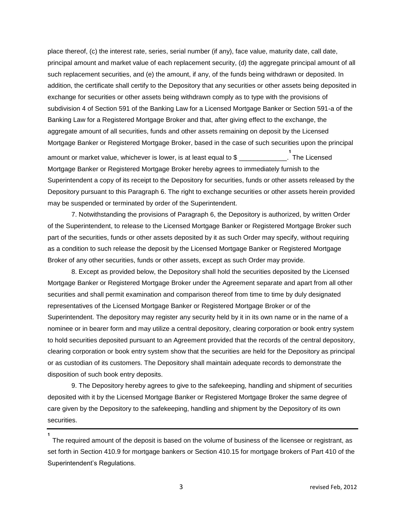place thereof, (c) the interest rate, series, serial number (if any), face value, maturity date, call date, principal amount and market value of each replacement security, (d) the aggregate principal amount of all such replacement securities, and (e) the amount, if any, of the funds being withdrawn or deposited. In addition, the certificate shall certify to the Depository that any securities or other assets being deposited in exchange for securities or other assets being withdrawn comply as to type with the provisions of subdivision 4 of Section 591 of the Banking Law for a Licensed Mortgage Banker or Section 591-a of the Banking Law for a Registered Mortgage Broker and that, after giving effect to the exchange, the aggregate amount of all securities, funds and other assets remaining on deposit by the Licensed Mortgage Banker or Registered Mortgage Broker, based in the case of such securities upon the principal

amount or market value, whichever is lower, is at least equal to \$ **1** The Licensed Mortgage Banker or Registered Mortgage Broker hereby agrees to immediately furnish to the Superintendent a copy of its receipt to the Depository for securities, funds or other assets released by the Depository pursuant to this Paragraph 6. The right to exchange securities or other assets herein provided may be suspended or terminated by order of the Superintendent.

7. Notwithstanding the provisions of Paragraph 6, the Depository is authorized, by written Order of the Superintendent, to release to the Licensed Mortgage Banker or Registered Mortgage Broker such part of the securities, funds or other assets deposited by it as such Order may specify, without requiring as a condition to such release the deposit by the Licensed Mortgage Banker or Registered Mortgage Broker of any other securities, funds or other assets, except as such Order may provide.

8. Except as provided below, the Depository shall hold the securities deposited by the Licensed Mortgage Banker or Registered Mortgage Broker under the Agreement separate and apart from all other securities and shall permit examination and comparison thereof from time to time by duly designated representatives of the Licensed Mortgage Banker or Registered Mortgage Broker or of the Superintendent. The depository may register any security held by it in its own name or in the name of a nominee or in bearer form and may utilize a central depository, clearing corporation or book entry system to hold securities deposited pursuant to an Agreement provided that the records of the central depository, clearing corporation or book entry system show that the securities are held for the Depository as principal or as custodian of its customers. The Depository shall maintain adequate records to demonstrate the disposition of such book entry deposits.

9. The Depository hereby agrees to give to the safekeeping, handling and shipment of securities deposited with it by the Licensed Mortgage Banker or Registered Mortgage Broker the same degree of care given by the Depository to the safekeeping, handling and shipment by the Depository of its own securities.

The required amount of the deposit is based on the volume of business of the licensee or registrant, as set forth in Section 410.9 for mortgage bankers or Section 410.15 for mortgage brokers of Part 410 of the Superintendent's Regulations.

**1**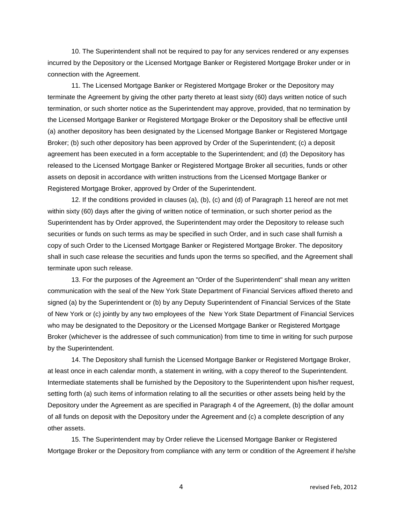10. The Superintendent shall not be required to pay for any services rendered or any expenses incurred by the Depository or the Licensed Mortgage Banker or Registered Mortgage Broker under or in connection with the Agreement.

11. The Licensed Mortgage Banker or Registered Mortgage Broker or the Depository may terminate the Agreement by giving the other party thereto at least sixty (60) days written notice of such termination, or such shorter notice as the Superintendent may approve, provided, that no termination by the Licensed Mortgage Banker or Registered Mortgage Broker or the Depository shall be effective until (a) another depository has been designated by the Licensed Mortgage Banker or Registered Mortgage Broker; (b) such other depository has been approved by Order of the Superintendent; (c) a deposit agreement has been executed in a form acceptable to the Superintendent; and (d) the Depository has released to the Licensed Mortgage Banker or Registered Mortgage Broker all securities, funds or other assets on deposit in accordance with written instructions from the Licensed Mortgage Banker or Registered Mortgage Broker, approved by Order of the Superintendent.

12. If the conditions provided in clauses (a), (b), (c) and (d) of Paragraph 11 hereof are not met within sixty (60) days after the giving of written notice of termination, or such shorter period as the Superintendent has by Order approved, the Superintendent may order the Depository to release such securities or funds on such terms as may be specified in such Order, and in such case shall furnish a copy of such Order to the Licensed Mortgage Banker or Registered Mortgage Broker. The depository shall in such case release the securities and funds upon the terms so specified, and the Agreement shall terminate upon such release.

13. For the purposes of the Agreement an "Order of the Superintendent" shall mean any written communication with the seal of the New York State Department of Financial Services affixed thereto and signed (a) by the Superintendent or (b) by any Deputy Superintendent of Financial Services of the State of New York or (c) jointly by any two employees of the New York State Department of Financial Services who may be designated to the Depository or the Licensed Mortgage Banker or Registered Mortgage Broker (whichever is the addressee of such communication) from time to time in writing for such purpose by the Superintendent.

14. The Depository shall furnish the Licensed Mortgage Banker or Registered Mortgage Broker, at least once in each calendar month, a statement in writing, with a copy thereof to the Superintendent. Intermediate statements shall be furnished by the Depository to the Superintendent upon his/her request, setting forth (a) such items of information relating to all the securities or other assets being held by the Depository under the Agreement as are specified in Paragraph 4 of the Agreement, (b) the dollar amount of all funds on deposit with the Depository under the Agreement and (c) a complete description of any other assets.

15. The Superintendent may by Order relieve the Licensed Mortgage Banker or Registered Mortgage Broker or the Depository from compliance with any term or condition of the Agreement if he/she